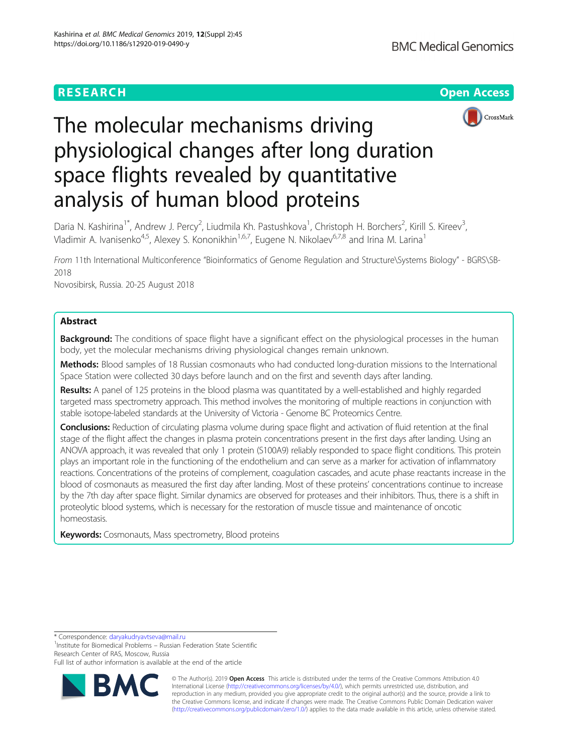## **RESEARCH CHEAR CHEAR CHEAR CHEAR CHEAR CHEAR CHEAR CHEAR CHEAP CHEAP CHEAP CHEAP CHEAP CHEAP CHEAP CHEAP CHEAP**



# The molecular mechanisms driving physiological changes after long duration space flights revealed by quantitative analysis of human blood proteins

Daria N. Kashirina<sup>1\*</sup>, Andrew J. Percy<sup>2</sup>, Liudmila Kh. Pastushkova<sup>1</sup>, Christoph H. Borchers<sup>2</sup>, Kirill S. Kireev<sup>3</sup> , Vladimir A. Ivanisenko<sup>4,5</sup>, Alexey S. Kononikhin<sup>1,6,7</sup>, Eugene N. Nikolaev<sup>6,7,8</sup> and Irina M. Larina<sup>1</sup>

From 11th International Multiconference "Bioinformatics of Genome Regulation and Structure\Systems Biology" - BGRS\SB-2018

Novosibirsk, Russia. 20-25 August 2018

## Abstract

**Background:** The conditions of space flight have a significant effect on the physiological processes in the human body, yet the molecular mechanisms driving physiological changes remain unknown.

Methods: Blood samples of 18 Russian cosmonauts who had conducted long-duration missions to the International Space Station were collected 30 days before launch and on the first and seventh days after landing.

Results: A panel of 125 proteins in the blood plasma was quantitated by a well-established and highly regarded targeted mass spectrometry approach. This method involves the monitoring of multiple reactions in conjunction with stable isotope-labeled standards at the University of Victoria - Genome BC Proteomics Centre.

Conclusions: Reduction of circulating plasma volume during space flight and activation of fluid retention at the final stage of the flight affect the changes in plasma protein concentrations present in the first days after landing. Using an ANOVA approach, it was revealed that only 1 protein (S100A9) reliably responded to space flight conditions. This protein plays an important role in the functioning of the endothelium and can serve as a marker for activation of inflammatory reactions. Concentrations of the proteins of complement, coagulation cascades, and acute phase reactants increase in the blood of cosmonauts as measured the first day after landing. Most of these proteins' concentrations continue to increase by the 7th day after space flight. Similar dynamics are observed for proteases and their inhibitors. Thus, there is a shift in proteolytic blood systems, which is necessary for the restoration of muscle tissue and maintenance of oncotic homeostasis.

Keywords: Cosmonauts, Mass spectrometry, Blood proteins

\* Correspondence: [daryakudryavtseva@mail.ru](mailto:daryakudryavtseva@mail.ru) <sup>1</sup>

<sup>1</sup>Institute for Biomedical Problems - Russian Federation State Scientific Research Center of RAS, Moscow, Russia

Full list of author information is available at the end of the article



© The Author(s). 2019 **Open Access** This article is distributed under the terms of the Creative Commons Attribution 4.0 International License [\(http://creativecommons.org/licenses/by/4.0/](http://creativecommons.org/licenses/by/4.0/)), which permits unrestricted use, distribution, and reproduction in any medium, provided you give appropriate credit to the original author(s) and the source, provide a link to the Creative Commons license, and indicate if changes were made. The Creative Commons Public Domain Dedication waiver [\(http://creativecommons.org/publicdomain/zero/1.0/](http://creativecommons.org/publicdomain/zero/1.0/)) applies to the data made available in this article, unless otherwise stated.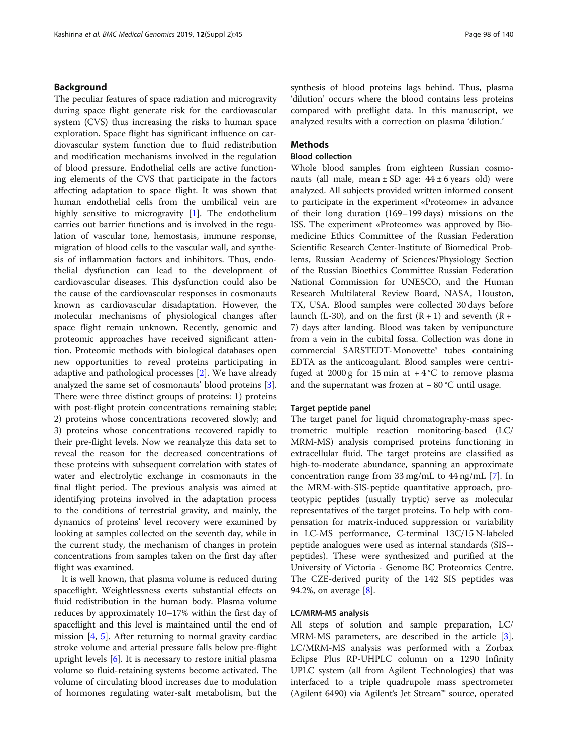## Background

The peculiar features of space radiation and microgravity during space flight generate risk for the cardiovascular system (CVS) thus increasing the risks to human space exploration. Space flight has significant influence on cardiovascular system function due to fluid redistribution and modification mechanisms involved in the regulation of blood pressure. Endothelial cells are active functioning elements of the CVS that participate in the factors affecting adaptation to space flight. It was shown that human endothelial cells from the umbilical vein are highly sensitive to microgravity [\[1](#page-7-0)]. The endothelium carries out barrier functions and is involved in the regulation of vascular tone, hemostasis, immune response, migration of blood cells to the vascular wall, and synthesis of inflammation factors and inhibitors. Thus, endothelial dysfunction can lead to the development of cardiovascular diseases. This dysfunction could also be the cause of the cardiovascular responses in cosmonauts known as cardiovascular disadaptation. However, the molecular mechanisms of physiological changes after space flight remain unknown. Recently, genomic and proteomic approaches have received significant attention. Proteomic methods with biological databases open new opportunities to reveal proteins participating in adaptive and pathological processes [\[2](#page-7-0)]. We have already analyzed the same set of cosmonauts' blood proteins [\[3](#page-7-0)]. There were three distinct groups of proteins: 1) proteins with post-flight protein concentrations remaining stable; 2) proteins whose concentrations recovered slowly; and 3) proteins whose concentrations recovered rapidly to their pre-flight levels. Now we reanalyze this data set to reveal the reason for the decreased concentrations of these proteins with subsequent correlation with states of water and electrolytic exchange in cosmonauts in the final flight period. The previous analysis was aimed at identifying proteins involved in the adaptation process to the conditions of terrestrial gravity, and mainly, the dynamics of proteins' level recovery were examined by looking at samples collected on the seventh day, while in the current study, the mechanism of changes in protein concentrations from samples taken on the first day after flight was examined.

It is well known, that plasma volume is reduced during spaceflight. Weightlessness exerts substantial effects on fluid redistribution in the human body. Plasma volume reduces by approximately 10–17% within the first day of spaceflight and this level is maintained until the end of mission [[4,](#page-7-0) [5](#page-7-0)]. After returning to normal gravity cardiac stroke volume and arterial pressure falls below pre-flight upright levels [\[6](#page-7-0)]. It is necessary to restore initial plasma volume so fluid-retaining systems become activated. The volume of circulating blood increases due to modulation of hormones regulating water-salt metabolism, but the

synthesis of blood proteins lags behind. Thus, plasma 'dilution' occurs where the blood contains less proteins compared with preflight data. In this manuscript, we analyzed results with a correction on plasma 'dilution.'

## **Methods**

## Blood collection

Whole blood samples from eighteen Russian cosmonauts (all male, mean  $\pm$  SD age:  $44 \pm 6$  years old) were analyzed. All subjects provided written informed consent to participate in the experiment «Proteome» in advance of their long duration (169–199 days) missions on the ISS. The experiment «Proteome» was approved by Biomedicine Ethics Committee of the Russian Federation Scientific Research Center-Institute of Biomedical Problems, Russian Academy of Sciences/Physiology Section of the Russian Bioethics Committee Russian Federation National Commission for UNESCO, and the Human Research Multilateral Review Board, NASA, Houston, TX, USA. Blood samples were collected 30 days before launch (L-30), and on the first  $(R + 1)$  and seventh  $(R +$ 7) days after landing. Blood was taken by venipuncture from a vein in the cubital fossa. Collection was done in commercial SARSTEDT-Monovette® tubes containing EDTA as the anticoagulant. Blood samples were centrifuged at 2000 g for 15 min at  $+4\degree$ C to remove plasma and the supernatant was frozen at − 80 °C until usage.

#### Target peptide panel

The target panel for liquid chromatography-mass spectrometric multiple reaction monitoring-based (LC/ MRM-MS) analysis comprised proteins functioning in extracellular fluid. The target proteins are classified as high-to-moderate abundance, spanning an approximate concentration range from 33 mg/mL to 44 ng/mL [\[7](#page-7-0)]. In the MRM-with-SIS-peptide quantitative approach, proteotypic peptides (usually tryptic) serve as molecular representatives of the target proteins. To help with compensation for matrix-induced suppression or variability in LC-MS performance, C-terminal 13C/15 N-labeled peptide analogues were used as internal standards (SIS- peptides). These were synthesized and purified at the University of Victoria - Genome BC Proteomics Centre. The CZE-derived purity of the 142 SIS peptides was 94.2%, on average [\[8](#page-7-0)].

#### LC/MRM-MS analysis

All steps of solution and sample preparation, LC/ MRM-MS parameters, are described in the article [\[3](#page-7-0)]. LC/MRM-MS analysis was performed with a Zorbax Eclipse Plus RP-UHPLC column on a 1290 Infinity UPLC system (all from Agilent Technologies) that was interfaced to a triple quadrupole mass spectrometer (Agilent 6490) via Agilent's Jet Stream™ source, operated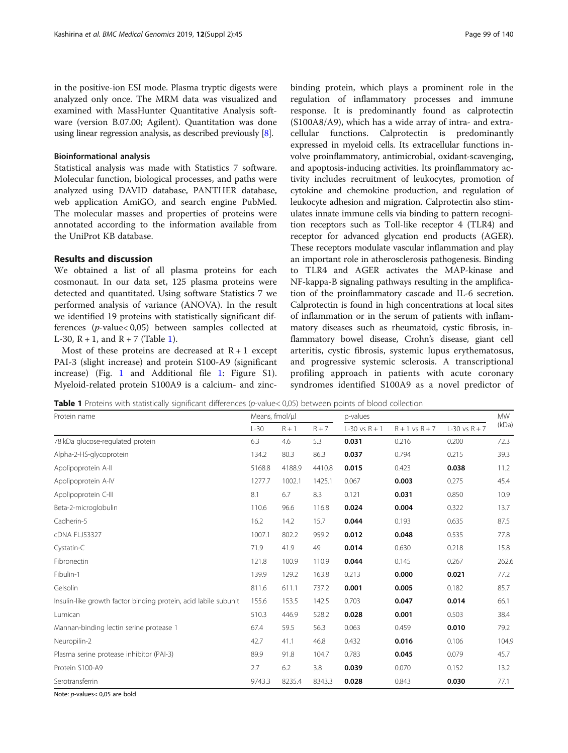<span id="page-2-0"></span>in the positive-ion ESI mode. Plasma tryptic digests were analyzed only once. The MRM data was visualized and examined with MassHunter Quantitative Analysis software (version B.07.00; Agilent). Quantitation was done using linear regression analysis, as described previously [\[8\]](#page-7-0).

### Bioinformational analysis

Statistical analysis was made with Statistics 7 software. Molecular function, biological processes, and paths were analyzed using DAVID database, PANTHER database, web application AmiGO, and search engine PubMed. The molecular masses and properties of proteins were annotated according to the information available from the UniProt KB database.

## Results and discussion

We obtained a list of all plasma proteins for each cosmonaut. In our data set, 125 plasma proteins were detected and quantitated. Using software Statistics 7 we performed analysis of variance (ANOVA). In the result we identified 19 proteins with statistically significant differences (p-value< 0,05) between samples collected at L-30,  $R + 1$ , and  $R + 7$  (Table 1).

Most of these proteins are decreased at  $R + 1$  except PAI-3 (slight increase) and protein S100-A9 (significant increase) (Fig. [1](#page-3-0) and Additional file [1](#page-7-0): Figure S1). Myeloid-related protein S100A9 is a calcium- and zinc-

binding protein, which plays a prominent role in the regulation of inflammatory processes and immune response. It is predominantly found as calprotectin (S100A8/A9), which has a wide array of intra- and extracellular functions. Calprotectin is predominantly expressed in myeloid cells. Its extracellular functions involve proinflammatory, antimicrobial, oxidant-scavenging, and apoptosis-inducing activities. Its proinflammatory activity includes recruitment of leukocytes, promotion of cytokine and chemokine production, and regulation of leukocyte adhesion and migration. Calprotectin also stimulates innate immune cells via binding to pattern recognition receptors such as Toll-like receptor 4 (TLR4) and receptor for advanced glycation end products (AGER). These receptors modulate vascular inflammation and play an important role in atherosclerosis pathogenesis. Binding to TLR4 and AGER activates the MAP-kinase and NF-kappa-B signaling pathways resulting in the amplification of the proinflammatory cascade and IL-6 secretion. Calprotectin is found in high concentrations at local sites of inflammation or in the serum of patients with inflammatory diseases such as rheumatoid, cystic fibrosis, inflammatory bowel disease, Crohn's disease, giant cell arteritis, cystic fibrosis, systemic lupus erythematosus, and progressive systemic sclerosis. A transcriptional profiling approach in patients with acute coronary syndromes identified S100A9 as a novel predictor of

Table 1 Proteins with statistically significant differences (p-value< 0,05) between points of blood collection

| Protein name                                                    | Means, fmol/ul |         |         | p-values          |                    |                 |       |
|-----------------------------------------------------------------|----------------|---------|---------|-------------------|--------------------|-----------------|-------|
|                                                                 | $L-30$         | $R + 1$ | $R + 7$ | $L-30$ vs $R + 1$ | $R + 1$ vs $R + 7$ | $L-30$ vs $R+7$ | (kDa) |
| 78 kDa glucose-regulated protein                                | 6.3            | 4.6     | 5.3     | 0.031             | 0.216              | 0.200           | 72.3  |
| Alpha-2-HS-glycoprotein                                         | 134.2          | 80.3    | 86.3    | 0.037             | 0.794              | 0.215           | 39.3  |
| Apolipoprotein A-II                                             | 5168.8         | 4188.9  | 4410.8  | 0.015             | 0.423              | 0.038           | 11.2  |
| Apolipoprotein A-IV                                             | 1277.7         | 1002.1  | 1425.1  | 0.067             | 0.003              | 0.275           | 45.4  |
| Apolipoprotein C-III                                            | 8.1            | 6.7     | 8.3     | 0.121             | 0.031              | 0.850           | 10.9  |
| Beta-2-microglobulin                                            | 110.6          | 96.6    | 116.8   | 0.024             | 0.004              | 0.322           | 13.7  |
| Cadherin-5                                                      | 16.2           | 14.2    | 15.7    | 0.044             | 0.193              | 0.635           | 87.5  |
| cDNA FLJ53327                                                   | 1007.1         | 802.2   | 959.2   | 0.012             | 0.048              | 0.535           | 77.8  |
| Cystatin-C                                                      | 71.9           | 41.9    | 49      | 0.014             | 0.630              | 0.218           | 15.8  |
| Fibronectin                                                     | 121.8          | 100.9   | 110.9   | 0.044             | 0.145              | 0.267           | 262.6 |
| Fibulin-1                                                       | 139.9          | 129.2   | 163.8   | 0.213             | 0.000              | 0.021           | 77.2  |
| Gelsolin                                                        | 811.6          | 611.1   | 737.2   | 0.001             | 0.005              | 0.182           | 85.7  |
| Insulin-like growth factor binding protein, acid labile subunit | 155.6          | 153.5   | 142.5   | 0.703             | 0.047              | 0.014           | 66.1  |
| Lumican                                                         | 510.3          | 446.9   | 528.2   | 0.028             | 0.001              | 0.503           | 38.4  |
| Mannan-binding lectin serine protease 1                         | 67.4           | 59.5    | 56.3    | 0.063             | 0.459              | 0.010           | 79.2  |
| Neuropilin-2                                                    | 42.7           | 41.1    | 46.8    | 0.432             | 0.016              | 0.106           | 104.9 |
| Plasma serine protease inhibitor (PAI-3)                        | 89.9           | 91.8    | 104.7   | 0.783             | 0.045              | 0.079           | 45.7  |
| Protein S100-A9                                                 | 2.7            | 6.2     | 3.8     | 0.039             | 0.070              | 0.152           | 13.2  |
| Serotransferrin                                                 | 9743.3         | 8235.4  | 8343.3  | 0.028             | 0.843              | 0.030           | 77.1  |

Note: p-values< 0,05 are bold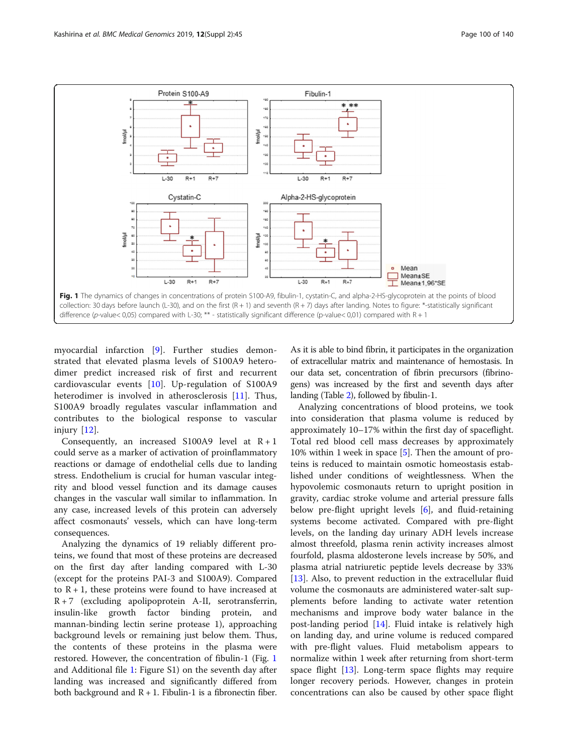<span id="page-3-0"></span>

myocardial infarction [[9\]](#page-7-0). Further studies demonstrated that elevated plasma levels of S100A9 heterodimer predict increased risk of first and recurrent cardiovascular events [\[10](#page-7-0)]. Up-regulation of S100A9 heterodimer is involved in atherosclerosis [[11\]](#page-7-0). Thus, S100A9 broadly regulates vascular inflammation and contributes to the biological response to vascular injury [\[12](#page-7-0)].

Consequently, an increased S100A9 level at  $R + 1$ could serve as a marker of activation of proinflammatory reactions or damage of endothelial cells due to landing stress. Endothelium is crucial for human vascular integrity and blood vessel function and its damage causes changes in the vascular wall similar to inflammation. In any case, increased levels of this protein can adversely affect cosmonauts' vessels, which can have long-term consequences.

Analyzing the dynamics of 19 reliably different proteins, we found that most of these proteins are decreased on the first day after landing compared with L-30 (except for the proteins PAI-3 and S100A9). Compared to  $R + 1$ , these proteins were found to have increased at  $R + 7$  (excluding apolipoprotein A-II, serotransferrin, insulin-like growth factor binding protein, and mannan-binding lectin serine protease 1), approaching background levels or remaining just below them. Thus, the contents of these proteins in the plasma were restored. However, the concentration of fibulin-1 (Fig. 1 and Additional file [1](#page-7-0): Figure S1) on the seventh day after landing was increased and significantly differed from both background and  $R + 1$ . Fibulin-1 is a fibronectin fiber.

As it is able to bind fibrin, it participates in the organization of extracellular matrix and maintenance of hemostasis. In our data set, concentration of fibrin precursors (fibrinogens) was increased by the first and seventh days after landing (Table [2\)](#page-4-0), followed by fibulin-1.

Analyzing concentrations of blood proteins, we took into consideration that plasma volume is reduced by approximately 10–17% within the first day of spaceflight. Total red blood cell mass decreases by approximately 10% within 1 week in space [\[5](#page-7-0)]. Then the amount of proteins is reduced to maintain osmotic homeostasis established under conditions of weightlessness. When the hypovolemic cosmonauts return to upright position in gravity, cardiac stroke volume and arterial pressure falls below pre-flight upright levels [[6\]](#page-7-0), and fluid-retaining systems become activated. Compared with pre-flight levels, on the landing day urinary ADH levels increase almost threefold, plasma renin activity increases almost fourfold, plasma aldosterone levels increase by 50%, and plasma atrial natriuretic peptide levels decrease by 33% [[13\]](#page-7-0). Also, to prevent reduction in the extracellular fluid volume the cosmonauts are administered water-salt supplements before landing to activate water retention mechanisms and improve body water balance in the post-landing period [\[14\]](#page-7-0). Fluid intake is relatively high on landing day, and urine volume is reduced compared with pre-flight values. Fluid metabolism appears to normalize within 1 week after returning from short-term space flight [\[13](#page-7-0)]. Long-term space flights may require longer recovery periods. However, changes in protein concentrations can also be caused by other space flight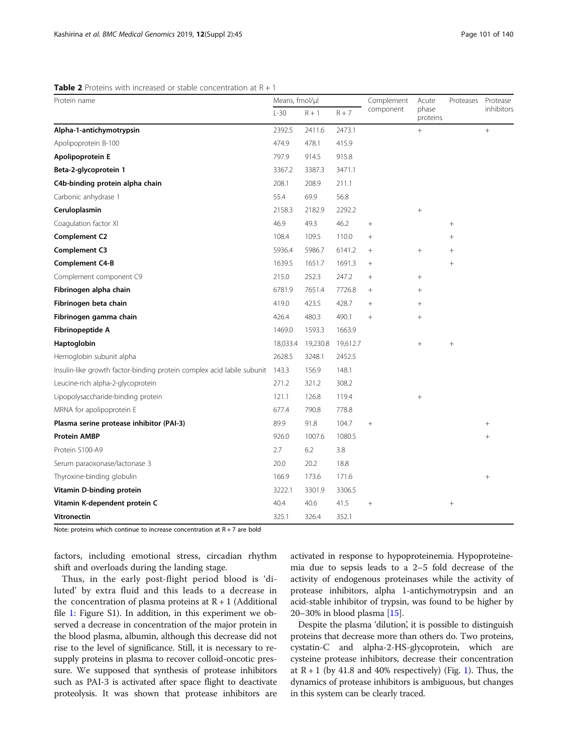#### <span id="page-4-0"></span>**Table 2** Proteins with increased or stable concentration at  $R + 1$

| Protein name                                                           | Means, fmol/µl |          |          | Complement<br>component | Acute<br>phase<br>proteins | Proteases       | Protease<br>inhibitors |
|------------------------------------------------------------------------|----------------|----------|----------|-------------------------|----------------------------|-----------------|------------------------|
|                                                                        | $L-30$         | $R + 1$  | $R + 7$  |                         |                            |                 |                        |
| Alpha-1-antichymotrypsin                                               | 2392.5         | 2411.6   | 2473.1   |                         | $^{+}$                     |                 | $+$                    |
| Apolipoprotein B-100                                                   | 474.9          | 478.1    | 415.9    |                         |                            |                 |                        |
| Apolipoprotein E                                                       | 797.9          | 914.5    | 915.8    |                         |                            |                 |                        |
| Beta-2-glycoprotein 1                                                  | 3367.2         | 3387.3   | 3471.1   |                         |                            |                 |                        |
| C4b-binding protein alpha chain                                        | 208.1          | 208.9    | 211.1    |                         |                            |                 |                        |
| Carbonic anhydrase 1                                                   | 55.4           | 69.9     | 56.8     |                         |                            |                 |                        |
| Ceruloplasmin                                                          | 2158.3         | 2182.9   | 2292.2   |                         | $^{+}$                     |                 |                        |
| Coagulation factor XI                                                  | 46.9           | 49.3     | 46.2     | $+$                     |                            | $^{+}$          |                        |
| <b>Complement C2</b>                                                   | 108.4          | 109.5    | 110.0    | $+$                     |                            | $^{+}$          |                        |
| <b>Complement C3</b>                                                   | 5936.4         | 5986.7   | 6141.2   | $+$                     |                            | $^{+}$          |                        |
| <b>Complement C4-B</b>                                                 | 1639.5         | 1651.7   | 1691.3   | $^{+}$                  |                            | $^{+}$          |                        |
| Complement component C9                                                | 215.0          | 252.3    | 247.2    | $\! + \!\!\!\!$         | $\! + \!\!\!\!$            |                 |                        |
| Fibrinogen alpha chain                                                 | 6781.9         | 7651.4   | 7726.8   | $+$                     | $^{+}$                     |                 |                        |
| Fibrinogen beta chain                                                  | 419.0          | 423.5    | 428.7    | $+$                     | $^{+}$                     |                 |                        |
| Fibrinogen gamma chain                                                 | 426.4          | 480.3    | 490.1    | $+$                     | $\! + \!\!\!\!$            |                 |                        |
| Fibrinopeptide A                                                       | 1469.0         | 1593.3   | 1663.9   |                         |                            |                 |                        |
| Haptoglobin                                                            | 18,033.4       | 19,230.8 | 19,612.7 |                         | $^{+}$                     | $^{+}$          |                        |
| Hemoglobin subunit alpha                                               | 2628.5         | 3248.1   | 2452.5   |                         |                            |                 |                        |
| Insulin-like growth factor-binding protein complex acid labile subunit | 143.3          | 156.9    | 148.1    |                         |                            |                 |                        |
| Leucine-rich alpha-2-glycoprotein                                      | 271.2          | 321.2    | 308.2    |                         |                            |                 |                        |
| Lipopolysaccharide-binding protein                                     | 121.1          | 126.8    | 119.4    |                         | $^{+}$                     |                 |                        |
| MRNA for apolipoprotein E                                              | 677.4          | 790.8    | 778.8    |                         |                            |                 |                        |
| Plasma serine protease inhibitor (PAI-3)                               | 89.9           | 91.8     | 104.7    | $^{+}$                  |                            |                 | $\! + \!\!\!\!$        |
| <b>Protein AMBP</b>                                                    | 926.0          | 1007.6   | 1080.5   |                         |                            |                 |                        |
| Protein S100-A9                                                        | 2.7            | 6.2      | 3.8      |                         |                            |                 |                        |
| Serum paraoxonase/lactonase 3                                          | 20.0           | 20.2     | 18.8     |                         |                            |                 |                        |
| Thyroxine-binding globulin                                             | 166.9          | 173.6    | 171.6    |                         |                            |                 | $+$                    |
| Vitamin D-binding protein                                              | 3222.1         | 3301.9   | 3306.5   |                         |                            |                 |                        |
| Vitamin K-dependent protein C                                          | 40.4           | 40.6     | 41.5     | $^{+}$                  |                            | $\! + \!\!\!\!$ |                        |
| <b>Vitronectin</b>                                                     | 325.1          | 326.4    | 352.1    |                         |                            |                 |                        |

Note: proteins which continue to increase concentration at  $R + 7$  are bold

factors, including emotional stress, circadian rhythm shift and overloads during the landing stage.

Thus, in the early post-flight period blood is 'diluted' by extra fluid and this leads to a decrease in the concentration of plasma proteins at  $R + 1$  (Additional file [1](#page-7-0): Figure S1). In addition, in this experiment we observed a decrease in concentration of the major protein in the blood plasma, albumin, although this decrease did not rise to the level of significance. Still, it is necessary to resupply proteins in plasma to recover colloid-oncotic pressure. We supposed that synthesis of protease inhibitors such as PAI-3 is activated after space flight to deactivate proteolysis. It was shown that protease inhibitors are activated in response to hypoproteinemia. Hypoproteinemia due to sepsis leads to a 2–5 fold decrease of the activity of endogenous proteinases while the activity of protease inhibitors, alpha 1-antichymotrypsin and an acid-stable inhibitor of trypsin, was found to be higher by 20–30% in blood plasma [[15](#page-7-0)].

Despite the plasma 'dilution', it is possible to distinguish proteins that decrease more than others do. Two proteins, cystatin-C and alpha-2-HS-glycoprotein, which are cysteine protease inhibitors, decrease their concentration at  $R + 1$  $R + 1$  (by 41.8 and 40% respectively) (Fig. 1). Thus, the dynamics of protease inhibitors is ambiguous, but changes in this system can be clearly traced.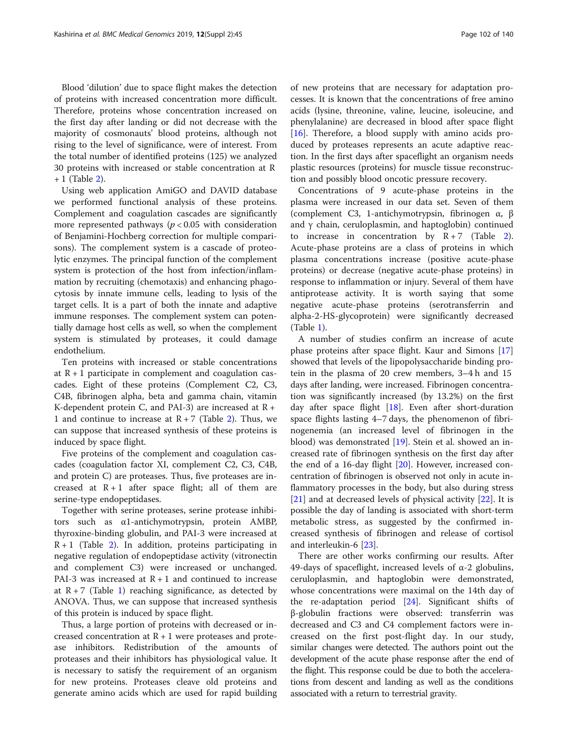Blood 'dilution' due to space flight makes the detection of proteins with increased concentration more difficult. Therefore, proteins whose concentration increased on the first day after landing or did not decrease with the majority of cosmonauts' blood proteins, although not rising to the level of significance, were of interest. From the total number of identified proteins (125) we analyzed 30 proteins with increased or stable concentration at R  $+1$  (Table [2](#page-4-0)).

Using web application AmiGO and DAVID database we performed functional analysis of these proteins. Complement and coagulation cascades are significantly more represented pathways ( $p < 0.05$  with consideration of Benjamini-Hochberg correction for multiple comparisons). The complement system is a cascade of proteolytic enzymes. The principal function of the complement system is protection of the host from infection/inflammation by recruiting (chemotaxis) and enhancing phagocytosis by innate immune cells, leading to lysis of the target cells. It is a part of both the innate and adaptive immune responses. The complement system can potentially damage host cells as well, so when the complement system is stimulated by proteases, it could damage endothelium.

Ten proteins with increased or stable concentrations at  $R + 1$  participate in complement and coagulation cascades. Eight of these proteins (Complement C2, C3, C4B, fibrinogen alpha, beta and gamma chain, vitamin K-dependent protein C, and PAI-3) are increased at  $R +$ 1 and continue to increase at  $R + 7$  (Table [2](#page-4-0)). Thus, we can suppose that increased synthesis of these proteins is induced by space flight.

Five proteins of the complement and coagulation cascades (coagulation factor XI, complement C2, C3, C4B, and protein C) are proteases. Thus, five proteases are increased at  $R + 1$  after space flight; all of them are serine-type endopeptidases.

Together with serine proteases, serine protease inhibitors such as α1-antichymotrypsin, protein AMBP, thyroxine-binding globulin, and PAI-3 were increased at  $R + 1$  (Table [2](#page-4-0)). In addition, proteins participating in negative regulation of endopeptidase activity (vitronectin and complement C3) were increased or unchanged. PAI-3 was increased at  $R + 1$  and continued to increase at  $R + 7$  (Table [1](#page-2-0)) reaching significance, as detected by ANOVA. Thus, we can suppose that increased synthesis of this protein is induced by space flight.

Thus, a large portion of proteins with decreased or increased concentration at  $R + 1$  were proteases and protease inhibitors. Redistribution of the amounts of proteases and their inhibitors has physiological value. It is necessary to satisfy the requirement of an organism for new proteins. Proteases cleave old proteins and generate amino acids which are used for rapid building

of new proteins that are necessary for adaptation processes. It is known that the concentrations of free amino acids (lysine, threonine, valine, leucine, isoleucine, and phenylalanine) are decreased in blood after space flight [[16\]](#page-7-0). Therefore, a blood supply with amino acids produced by proteases represents an acute adaptive reaction. In the first days after spaceflight an organism needs plastic resources (proteins) for muscle tissue reconstruction and possibly blood oncotic pressure recovery.

Concentrations of 9 acute-phase proteins in the plasma were increased in our data set. Seven of them (complement C3, 1-antichymotrypsin, fibrinogen α, β and  $\gamma$  chain, ceruloplasmin, and haptoglobin) continued to increase in concentration by  $R + 7$  (Table [2](#page-4-0)). Acute-phase proteins are a class of proteins in which plasma concentrations increase (positive acute-phase proteins) or decrease (negative acute-phase proteins) in response to inflammation or injury. Several of them have antiprotease activity. It is worth saying that some negative acute-phase proteins (serotransferrin and alpha-2-HS-glycoprotein) were significantly decreased (Table [1\)](#page-2-0).

A number of studies confirm an increase of acute phase proteins after space flight. Kaur and Simons [[17](#page-7-0)] showed that levels of the lipopolysaccharide binding protein in the plasma of 20 crew members, 3–4 h and 15 days after landing, were increased. Fibrinogen concentration was significantly increased (by 13.2%) on the first day after space flight  $[18]$  $[18]$ . Even after short-duration space flights lasting 4–7 days, the phenomenon of fibrinogenemia (an increased level of fibrinogen in the blood) was demonstrated [\[19\]](#page-7-0). Stein et al. showed an increased rate of fibrinogen synthesis on the first day after the end of a 16-day flight [[20\]](#page-7-0). However, increased concentration of fibrinogen is observed not only in acute inflammatory processes in the body, but also during stress [[21\]](#page-7-0) and at decreased levels of physical activity [\[22](#page-7-0)]. It is possible the day of landing is associated with short-term metabolic stress, as suggested by the confirmed increased synthesis of fibrinogen and release of cortisol and interleukin-6 [[23](#page-8-0)].

There are other works confirming our results. After 49-days of spaceflight, increased levels of  $\alpha$ -2 globulins, ceruloplasmin, and haptoglobin were demonstrated, whose concentrations were maximal on the 14th day of the re-adaptation period [\[24](#page-8-0)]. Significant shifts of β-globulin fractions were observed: transferrin was decreased and C3 and C4 complement factors were increased on the first post-flight day. In our study, similar changes were detected. The authors point out the development of the acute phase response after the end of the flight. This response could be due to both the accelerations from descent and landing as well as the conditions associated with a return to terrestrial gravity.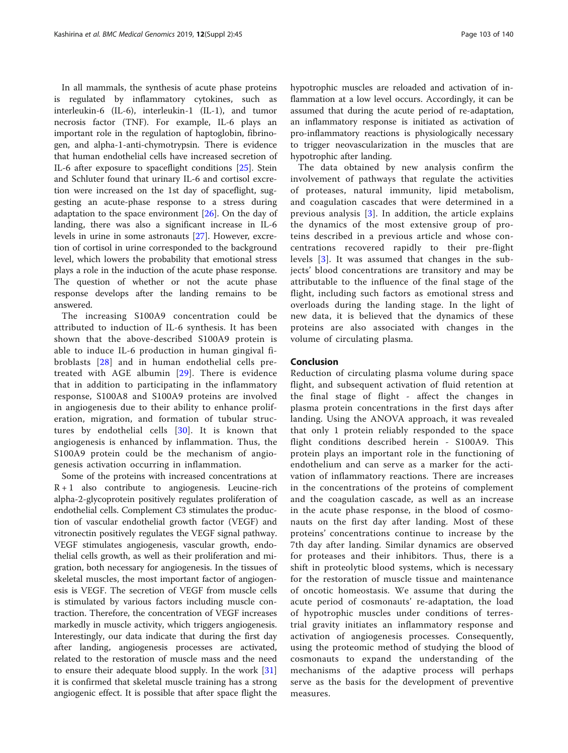In all mammals, the synthesis of acute phase proteins is regulated by inflammatory cytokines, such as interleukin-6 (IL-6), interleukin-1 (IL-1), and tumor necrosis factor (TNF). For example, IL-6 plays an important role in the regulation of haptoglobin, fibrinogen, and alpha-1-anti-chymotrypsin. There is evidence that human endothelial cells have increased secretion of IL-6 after exposure to spaceflight conditions [[25\]](#page-8-0). Stein and Schluter found that urinary IL-6 and cortisol excretion were increased on the 1st day of spaceflight, suggesting an acute-phase response to a stress during adaptation to the space environment  $[26]$  $[26]$  $[26]$ . On the day of landing, there was also a significant increase in IL-6 levels in urine in some astronauts [[27\]](#page-8-0). However, excretion of cortisol in urine corresponded to the background level, which lowers the probability that emotional stress plays a role in the induction of the acute phase response. The question of whether or not the acute phase response develops after the landing remains to be answered.

The increasing S100A9 concentration could be attributed to induction of IL-6 synthesis. It has been shown that the above-described S100A9 protein is able to induce IL-6 production in human gingival fibroblasts [[28\]](#page-8-0) and in human endothelial cells pretreated with AGE albumin [[29](#page-8-0)]. There is evidence that in addition to participating in the inflammatory response, S100A8 and S100A9 proteins are involved in angiogenesis due to their ability to enhance proliferation, migration, and formation of tubular structures by endothelial cells [\[30\]](#page-8-0). It is known that angiogenesis is enhanced by inflammation. Thus, the S100A9 protein could be the mechanism of angiogenesis activation occurring in inflammation.

Some of the proteins with increased concentrations at  $R + 1$  also contribute to angiogenesis. Leucine-rich alpha-2-glycoprotein positively regulates proliferation of endothelial cells. Complement C3 stimulates the production of vascular endothelial growth factor (VEGF) and vitronectin positively regulates the VEGF signal pathway. VEGF stimulates angiogenesis, vascular growth, endothelial cells growth, as well as their proliferation and migration, both necessary for angiogenesis. In the tissues of skeletal muscles, the most important factor of angiogenesis is VEGF. The secretion of VEGF from muscle cells is stimulated by various factors including muscle contraction. Therefore, the concentration of VEGF increases markedly in muscle activity, which triggers angiogenesis. Interestingly, our data indicate that during the first day after landing, angiogenesis processes are activated, related to the restoration of muscle mass and the need to ensure their adequate blood supply. In the work [[31](#page-8-0)] it is confirmed that skeletal muscle training has a strong angiogenic effect. It is possible that after space flight the

hypotrophic muscles are reloaded and activation of inflammation at a low level occurs. Accordingly, it can be assumed that during the acute period of re-adaptation, an inflammatory response is initiated as activation of pro-inflammatory reactions is physiologically necessary to trigger neovascularization in the muscles that are hypotrophic after landing.

The data obtained by new analysis confirm the involvement of pathways that regulate the activities of proteases, natural immunity, lipid metabolism, and coagulation cascades that were determined in a previous analysis [[3\]](#page-7-0). In addition, the article explains the dynamics of the most extensive group of proteins described in a previous article and whose concentrations recovered rapidly to their pre-flight levels [[3\]](#page-7-0). It was assumed that changes in the subjects' blood concentrations are transitory and may be attributable to the influence of the final stage of the flight, including such factors as emotional stress and overloads during the landing stage. In the light of new data, it is believed that the dynamics of these proteins are also associated with changes in the volume of circulating plasma.

#### Conclusion

Reduction of circulating plasma volume during space flight, and subsequent activation of fluid retention at the final stage of flight - affect the changes in plasma protein concentrations in the first days after landing. Using the ANOVA approach, it was revealed that only 1 protein reliably responded to the space flight conditions described herein - S100A9. This protein plays an important role in the functioning of endothelium and can serve as a marker for the activation of inflammatory reactions. There are increases in the concentrations of the proteins of complement and the coagulation cascade, as well as an increase in the acute phase response, in the blood of cosmonauts on the first day after landing. Most of these proteins' concentrations continue to increase by the 7th day after landing. Similar dynamics are observed for proteases and their inhibitors. Thus, there is a shift in proteolytic blood systems, which is necessary for the restoration of muscle tissue and maintenance of oncotic homeostasis. We assume that during the acute period of cosmonauts' re-adaptation, the load of hypotrophic muscles under conditions of terrestrial gravity initiates an inflammatory response and activation of angiogenesis processes. Consequently, using the proteomic method of studying the blood of cosmonauts to expand the understanding of the mechanisms of the adaptive process will perhaps serve as the basis for the development of preventive measures.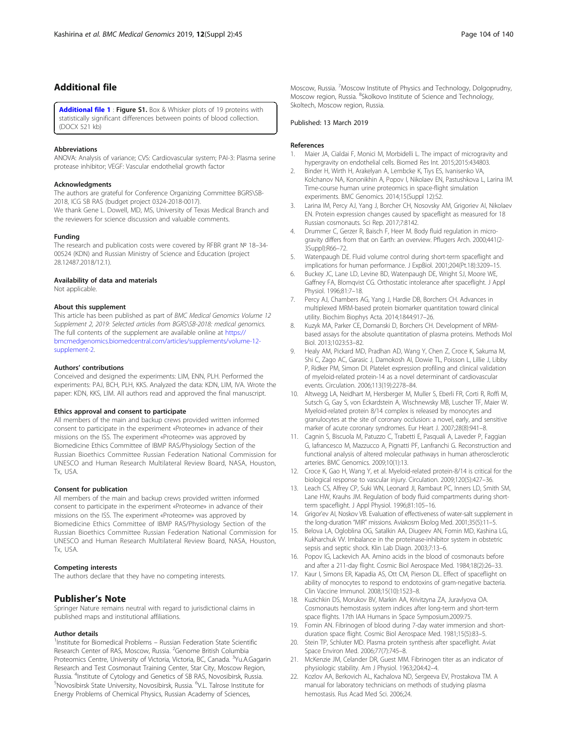## <span id="page-7-0"></span>Additional file

[Additional file 1](https://doi.org/10.1186/s12920-019-0490-y) : Figure S1. Box & Whisker plots of 19 proteins with statistically significant differences between points of blood collection. (DOCX 521 kb)

#### Abbreviations

ANOVA: Analysis of variance; CVS: Cardiovascular system; PAI-3: Plasma serine protease inhibitor; VEGF: Vascular endothelial growth factor

#### Acknowledgments

The authors are grateful for Conference Organizing Committee BGRS\SB-2018, ICG SB RAS (budget project 0324-2018-0017). We thank Gene L. Dowell, MD, MS, University of Texas Medical Branch and the reviewers for science discussion and valuable comments.

#### Funding

The research and publication costs were covered by RFBR grant № 18–34- 00524 (KDN) and Russian Ministry of Science and Education (project 28.12487.2018/12.1).

#### Availability of data and materials

Not applicable.

#### About this supplement

This article has been published as part of BMC Medical Genomics Volume 12 Supplement 2, 2019: Selected articles from BGRS\SB-2018: medical genomics. The full contents of the supplement are available online at [https://](https://bmcmedgenomics.biomedcentral.com/articles/supplements/volume-12-supplement-2) [bmcmedgenomics.biomedcentral.com/articles/supplements/volume-12](https://bmcmedgenomics.biomedcentral.com/articles/supplements/volume-12-supplement-2) [supplement-2](https://bmcmedgenomics.biomedcentral.com/articles/supplements/volume-12-supplement-2).

#### Authors' contributions

Conceived and designed the experiments: LIM, ENN, PLH. Performed the experiments: PAJ, BCH, PLH, KKS. Analyzed the data: KDN, LIM, IVA. Wrote the paper: KDN, KKS, LIM. All authors read and approved the final manuscript.

#### Ethics approval and consent to participate

All members of the main and backup crews provided written informed consent to participate in the experiment «Proteome» in advance of their missions on the ISS. The experiment «Proteome» was approved by Biomedicine Ethics Committee of IBMP RAS/Physiology Section of the Russian Bioethics Committee Russian Federation National Commission for UNESCO and Human Research Multilateral Review Board, NASA, Houston, Tx, USA.

#### Consent for publication

All members of the main and backup crews provided written informed consent to participate in the experiment «Proteome» in advance of their missions on the ISS. The experiment «Proteome» was approved by Biomedicine Ethics Committee of IBMP RAS/Physiology Section of the Russian Bioethics Committee Russian Federation National Commission for UNESCO and Human Research Multilateral Review Board, NASA, Houston, Tx, USA.

#### Competing interests

The authors declare that they have no competing interests.

#### Publisher's Note

Springer Nature remains neutral with regard to jurisdictional claims in published maps and institutional affiliations.

#### Author details

<sup>1</sup>Institute for Biomedical Problems - Russian Federation State Scientific Research Center of RAS, Moscow, Russia. <sup>2</sup>Genome British Columbia Proteomics Centre, University of Victoria, Victoria, BC, Canada. <sup>3</sup>Yu.A.Gagarin Research and Test Cosmonaut Training Center, Star City, Moscow Region, Russia. <sup>4</sup>Institute of Cytology and Genetics of SB RAS, Novosibirsk, Russia.<br><sup>5</sup>Novosibirsk State University Novosibirsk, Pussia. <sup>6</sup>/L. Talsese Institute fo Novosibirsk State University, Novosibirsk, Russia. <sup>6</sup>V.L. Talrose Institute for Energy Problems of Chemical Physics, Russian Academy of Sciences,

Moscow, Russia. <sup>7</sup> Moscow Institute of Physics and Technology, Dolgoprudny, Moscow region, Russia. <sup>8</sup>Skolkovo Institute of Science and Technology Skoltech, Moscow region, Russia.

#### Published: 13 March 2019

#### References

- 1. Maier JA, Cialdai F, Monici M, Morbidelli L. The impact of microgravity and hypergravity on endothelial cells. Biomed Res Int. 2015;2015:434803.
- 2. Binder H, Wirth H, Arakelyan A, Lembcke K, Tiys ES, Ivanisenko VA, Kolchanov NA, Kononikhin A, Popov I, Nikolaev EN, Pastushkova L, Larina IM. Time-course human urine proteomics in space-flight simulation experiments. BMC Genomics. 2014;15(Suppl 12):S2.
- Larina IM, Percy AJ, Yang J, Borcher CH, Nosovsky AM, Grigoriev AI, Nikolaev EN. Protein expression changes caused by spaceflight as measured for 18 Russian cosmonauts. Sci Rep. 2017;7:8142.
- 4. Drummer C, Gerzer R, Baisch F, Heer M. Body fluid regulation in microgravity differs from that on Earth: an overview. Pflugers Arch. 2000;441(2- 3Suppl):R66–72.
- 5. Watenpaugh DE. Fluid volume control during short-term spaceflight and implications for human performance. J ExpBiol. 2001;204(Pt.18):3209–15.
- 6. Buckey JC, Lane LD, Levine BD, Watenpaugh DE, Wright SJ, Moore WE, Gaffney FA, Blomqvist CG. Orthostatic intolerance after spaceflight. J Appl Physiol. 1996;81:7–18.
- 7. Percy AJ, Chambers AG, Yang J, Hardie DB, Borchers CH. Advances in multiplexed MRM-based protein biomarker quantitation toward clinical utility. Biochim Biophys Acta. 2014;1844:917–26.
- Kuzyk MA, Parker CE, Domanski D, Borchers CH. Development of MRMbased assays for the absolute quantitation of plasma proteins. Methods Mol Biol. 2013;1023:53–82.
- 9. Healy AM, Pickard MD, Pradhan AD, Wang Y, Chen Z, Croce K, Sakuma M, Shi C, Zago AC, Garasic J, Damokosh AI, Dowie TL, Poisson L, Lillie J, Libby P, Ridker PM, Simon DI. Platelet expression profiling and clinical validation of myeloid-related protein-14 as a novel determinant of cardiovascular events. Circulation. 2006;113(19):2278–84.
- 10. Altwegg LA, Neidhart M, Hersberger M, Muller S, Eberli FR, Corti R, Roffi M, Sutsch G, Gay S, von Eckardstein A, Wischnewsky MB, Luscher TF, Maier W. Myeloid-related protein 8/14 complex is released by monocytes and granulocytes at the site of coronary occlusion: a novel, early, and sensitive marker of acute coronary syndromes. Eur Heart J. 2007;28(8):941–8.
- 11. Cagnin S, Biscuola M, Patuzzo C, Trabetti E, Pasquali A, Laveder P, Faggian G, Iafrancesco M, Mazzucco A, Pignatti PF, Lanfranchi G. Reconstruction and functional analysis of altered molecular pathways in human atherosclerotic arteries. BMC Genomics. 2009;10(1):13.
- 12. Croce K, Gao H, Wang Y, et al. Myeloid-related protein-8/14 is critical for the biological response to vascular injury. Circulation. 2009;120(5):427–36.
- 13. Leach CS, Alfrey CP, Suki WN, Leonard JI, Rambaut PC, Inners LD, Smith SM, Lane HW, Krauhs JM. Regulation of body fluid compartments during shortterm spaceflight. J Appl Physiol. 1996;81:105–16.
- 14. Grigor'ev AI, Noskov VB. Evaluation of effectiveness of water-salt supplement in the long-duration "MIR" missions. Aviakosm Ekolog Med. 2001;35(5):11–5.
- 15. Belova LA, Ogloblina OG, Satalkin AA, Diugeev AN, Fomin MD, Kashina LG, Kukharchuk VV. Imbalance in the proteinase-inhibitor system in obstetric sepsis and septic shock. Klin Lab Diagn. 2003;7:13–6.
- 16. Popov IG, Lackevich AA. Amino acids in the blood of cosmonauts before and after a 211-day flight. Cosmic Biol Aerospace Med. 1984;18(2):26–33.
- 17. Kaur I, Simons ER, Kapadia AS, Ott CM, Pierson DL. Effect of spaceflight on ability of monocytes to respond to endotoxins of gram-negative bacteria. Clin Vaccine Immunol. 2008;15(10):1523–8.
- 18. Kuzichkin DS, Morukov BV, Markin AA, Krivitzyna ZA, Juravlyova OA. Cosmonauts hemostasis system indices after long-term and short-term space flights. 17th IAA Humans in Space Symposium.2009:75.
- 19. Fomin AN. Fibrinogen of blood during 7-day water immersion and shortduration space flight. Cosmic Biol Aerospace Med. 1981;15(5):83–5.
- 20. Stein TP, Schluter MD. Plasma protein synthesis after spaceflight. Aviat Space Environ Med. 2006;77(7):745–8.
- 21. McKenzie JM, Celander DR, Guest MM. Fibrinogen titer as an indicator of physiologic stability. Am J Physiol. 1963;204:42–4.
- 22. Kozlov AA, Berkovich AL, Kachalova ND, Sergeeva EV, Prostakova TM. A manual for laboratory technicians on methods of studying plasma hemostasis. Rus Acad Med Sci. 2006;24.